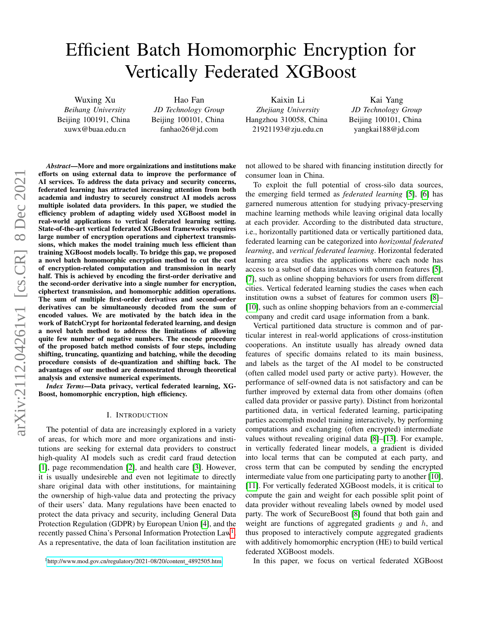# Efficient Batch Homomorphic Encryption for Vertically Federated XGBoost

Wuxing Xu *Beihang University* Beijing 100191, China xuwx@buaa.edu.cn

Hao Fan *JD Technology Group* Beijing 100101, China fanhao26@jd.com

Kaixin Li *Zhejiang University* Hangzhou 310058, China 21921193@zju.edu.cn

Kai Yang *JD Technology Group* Beijing 100101, China yangkai188@jd.com

*Abstract*—More and more orgainizations and institutions make efforts on using external data to improve the performance of AI services. To address the data privacy and security concerns, federated learning has attracted increasing attention from both academia and industry to securely construct AI models across multiple isolated data providers. In this paper, we studied the efficiency problem of adapting widely used XGBoost model in real-world applications to vertical federated learning setting. State-of-the-art vertical federated XGBoost frameworks requires large number of encryption operations and ciphertext transmissions, which makes the model training much less efficient than training XGBoost models locally. To bridge this gap, we proposed a novel batch homomorphic encryption method to cut the cost of encryption-related computation and transmission in nearly half. This is achieved by encoding the first-order derivative and the second-order derivative into a single number for encryption, ciphertext transmission, and homomorphic addition operations. The sum of multiple first-order derivatives and second-order derivatives can be simultaneously decoded from the sum of encoded values. We are motivated by the batch idea in the work of BatchCrypt for horizontal federated learning, and design a novel batch method to address the limitations of allowing quite few number of negative numbers. The encode procedure of the proposed batch method consists of four steps, including shifting, truncating, quantizing and batching, while the decoding procedure consists of de-quantization and shifting back. The advantages of our method are demonstrated through theoretical analysis and extensive numerical experiments.

*Index Terms*—Data privacy, vertical federated learning, XG-Boost, homomorphic encryption, high efficiency.

## I. INTRODUCTION

The potential of data are increasingly explored in a variety of areas, for which more and more organizations and institutions are seeking for external data providers to construct high-quality AI models such as credit card fraud detection [\[1\]](#page-8-0), page recommendation [\[2\]](#page-8-1), and health care [\[3\]](#page-8-2). However, it is usually undesireble and even not legitimate to directly share original data with other institutions, for maintaining the ownership of high-value data and protecting the privacy of their users' data. Many regulations have been enacted to protect the data privacy and security, including General Data Protection Regulation (GDPR) by European Union [\[4\]](#page-8-3), and the recently passed China's Personal Information Protection Law<sup>[1](#page-0-0)</sup>. As a representative, the data of loan facilitation institution are not allowed to be shared with financing institution directly for consumer loan in China.

To exploit the full potential of cross-silo data sources, the emerging field termed as *federated learning* [\[5\]](#page-8-4), [\[6\]](#page-8-5) has garnered numerous attention for studying privacy-preserving machine learning methods while leaving original data locally at each provider. According to the distributed data structure, i.e., horizontally partitioned data or vertically partitioned data, federated learning can be categorized into *horizontal federated learning*, and *vertical federated learning*. Horizontal federated learning area studies the applications where each node has access to a subset of data instances with common features [\[5\]](#page-8-4), [\[7\]](#page-8-6), such as online shopping behaviors for users from different cities. Vertical federated learning studies the cases when each institution owns a subset of features for common users [\[8\]](#page-8-7)– [\[10\]](#page-8-8), such as online shopping behaviors from an e-commercial company and credit card usage information from a bank.

Vertical partitioned data structure is common and of particular interest in real-world applications of cross-institution cooperations. An institute usually has already owned data features of specific domains related to its main business, and labels as the target of the AI model to be constructed (often called model used party or active party). However, the performance of self-owned data is not satisfactory and can be further improved by external data from other domains (often called data provider or passive party). Distinct from horizontal partitioned data, in vertical federated learning, participating parties accomplish model training interactively, by performing computations and exchanging (often encrypted) intermediate values without revealing original data [\[8\]](#page-8-7)–[\[13\]](#page-8-9). For example, in vertically federated linear models, a gradient is divided into local terms that can be computed at each party, and cross term that can be computed by sending the encrypted intermediate value from one participating party to another [\[10\]](#page-8-8), [\[11\]](#page-8-10). For vertically federated XGBoost models, it is critical to compute the gain and weight for each possible split point of data provider without revealing labels owned by model used party. The work of SecureBoost [\[8\]](#page-8-7) found that both gain and weight are functions of aggregated gradients  $q$  and  $h$ , and thus proposed to interactively compute aggregated gradients with additively homomorphic encryption (HE) to build vertical federated XGBoost models.

In this paper, we focus on vertical federated XGBoost

<span id="page-0-0"></span><sup>1</sup>[http://www.mod.gov.cn/regulatory/2021-08/20/content](http://www.mod.gov.cn/regulatory/2021-08/20/content_4892505.htm) 4892505.htm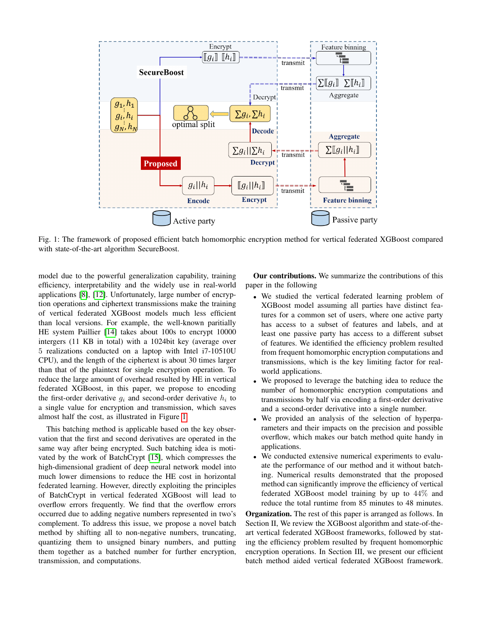<span id="page-1-0"></span>

Fig. 1: The framework of proposed efficient batch homomorphic encryption method for vertical federated XGBoost compared with state-of-the-art algorithm SecureBoost.

model due to the powerful generalization capability, training efficiency, interpretability and the widely use in real-world applications [\[8\]](#page-8-7), [\[12\]](#page-8-11). Unfortunately, large number of encryption operations and ciphertext transmissions make the training of vertical federated XGBoost models much less efficient than local versions. For example, the well-known paritially HE system Paillier [\[14\]](#page-8-12) takes about 100s to encrypt 10000 intergers (11 KB in total) with a 1024bit key (average over 5 realizations conducted on a laptop with Intel i7-10510U CPU), and the length of the ciphertext is about 30 times larger than that of the plaintext for single encryption operation. To reduce the large amount of overhead resulted by HE in vertical federated XGBoost, in this paper, we propose to encoding the first-order derivative  $g_i$  and second-order derivative  $h_i$  to a single value for encryption and transmission, which saves almost half the cost, as illustrated in Figure [1.](#page-1-0)

This batching method is applicable based on the key observation that the first and second derivatives are operated in the same way after being encrypted. Such batching idea is motivated by the work of BatchCrypt [\[15\]](#page-8-13), which compresses the high-dimensional gradient of deep neural network model into much lower dimensions to reduce the HE cost in horizontal federated learning. However, directly exploiting the principles of BatchCrypt in vertical federated XGBoost will lead to overflow errors frequently. We find that the overflow errors occurred due to adding negative numbers represented in two's complement. To address this issue, we propose a novel batch method by shifting all to non-negative numbers, truncating, quantizing them to unsigned binary numbers, and putting them together as a batched number for further encryption, transmission, and computations.

Our contributions. We summarize the contributions of this paper in the following

- We studied the vertical federated learning problem of XGBoost model assuming all parties have distinct features for a common set of users, where one active party has access to a subset of features and labels, and at least one passive party has access to a different subset of features. We identified the efficiency problem resulted from frequent homomorphic encryption computations and transmissions, which is the key limiting factor for realworld applications.
- We proposed to leverage the batching idea to reduce the number of homomorphic encryption computations and transmissions by half via encoding a first-order derivative and a second-order derivative into a single number.
- We provided an analysis of the selection of hyperparameters and their impacts on the precision and possible overflow, which makes our batch method quite handy in applications.
- We conducted extensive numerical experiments to evaluate the performance of our method and it without batching. Numerical results demonstrated that the proposed method can significantly improve the efficiency of vertical federated XGBoost model training by up to 44% and reduce the total runtime from 85 minutes to 48 minutes.

Organization. The rest of this paper is arranged as follows. In Section II, We review the XGBoost algorithm and state-of-theart vertical federated XGBoost frameworks, followed by stating the efficiency problem resulted by frequent homomorphic encryption operations. In Section III, we present our efficient batch method aided vertical federated XGBoost framework.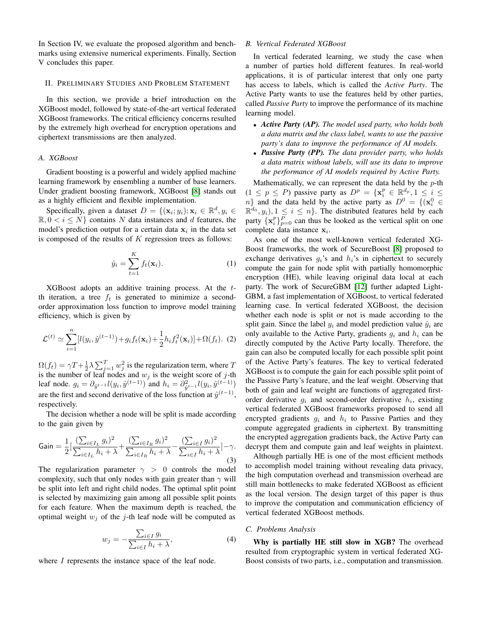In Section IV, we evaluate the proposed algorithm and benchmarks using extensive numerical experiments. Finally, Section V concludes this paper.

## II. PRELIMINARY STUDIES AND PROBLEM STATEMENT

In this section, we provide a brief introduction on the XGBoost model, followed by state-of-the-art vertical federated XGBoost frameworks. The critical efficiency concerns resulted by the extremely high overhead for encryption operations and ciphertext transmissions are then analyzed.

# *A. XGBoost*

Gradient boosting is a powerful and widely applied machine learning framework by ensembling a number of base learners. Under gradient boosting framework, XGBoost [\[8\]](#page-8-7) stands out as a highly efficient and flexible implementation.

Specifically, given a dataset  $D = \{(\mathbf{x}_i; y_i); \mathbf{x}_i \in \mathbb{R}^d, y_i \in$  $\mathbb{R}, 0 \lt i \leq N$  contains N data instances and d features, the model's prediction output for a certain data  $x_i$  in the data set is composed of the results of  $K$  regression trees as follows:

$$
\hat{y}_i = \sum_{t=1}^K f_t(\mathbf{x}_i). \tag{1}
$$

XGBoost adopts an additive training process. At the tth iteration, a tree  $f_t$  is generated to minimize a secondorder approximation loss function to improve model training efficiency, which is given by

$$
\mathcal{L}^{(t)} \simeq \sum_{i=1}^{n} [l(y_i, \hat{y}^{(t-1)}) + g_i f_t(\mathbf{x}_i) + \frac{1}{2} h_i f_t^2(\mathbf{x}_i)] + \Omega(f_t). \tag{2}
$$

 $\Omega(f_t) = \gamma T + \frac{1}{2}\lambda \sum_{j=1}^T w_j^2$  is the regularization term, where T is the number of leaf nodes and  $w_j$  is the weight score of j-th leaf node.  $g_i = \partial_{\hat{y}^{t-1}} l(y_i, \hat{y}^{(t-1)})$  and  $h_i = \partial_{\hat{y}^{t-1}}^2 l(y_i, \hat{y}^{(t-1)})$ are the first and second derivative of the loss function at  $\hat{y}^{(t-1)}$ , respectively.

The decision whether a node will be split is made according to the gain given by

<span id="page-2-1"></span>Gain = 
$$
\frac{1}{2} \left[ \frac{\left(\sum_{i \in I_L} g_i\right)^2}{\sum_{i \in I_L} h_i + \lambda} + \frac{\left(\sum_{i \in I_R} g_i\right)^2}{\sum_{i \in I_R} h_i + \lambda} - \frac{\left(\sum_{i \in I} g_i\right)^2}{\sum_{i \in I} h_i + \lambda} \right] - \gamma.
$$
\n(3)

The regularization parameter  $\gamma > 0$  controls the model complexity, such that only nodes with gain greater than  $\gamma$  will be split into left and right child nodes. The optimal split point is selected by maximizing gain among all possible split points for each feature. When the maximum depth is reached, the optimal weight  $w_i$  of the j-th leaf node will be computed as

<span id="page-2-2"></span>
$$
w_j = -\frac{\sum_{i \in I} g_i}{\sum_{i \in I} h_i + \lambda},\tag{4}
$$

where I represents the instance space of the leaf node.

# <span id="page-2-0"></span>*B. Vertical Federated XGBoost*

In vertical federated learning, we study the case when a number of parties hold different features. In real-world applications, it is of particular interest that only one party has access to labels, which is called the *Active Party*. The Active Party wants to use the features held by other parties, called *Passive Party* to improve the performance of its machine learning model.

- *Active Party (AP). The model used party, who holds both a data matrix and the class label, wants to use the passive party's data to improve the performance of AI models.*
- *Passive Party (PP). The data provider party, who holds a data matrix without labels, will use its data to improve the performance of AI models required by Active Party.*

Mathematically, we can represent the data held by the  $p$ -th  $(1 \leq p \leq P)$  passive party as  $D^p = {\mathbf{x}_i^p \in \mathbb{R}^{d_p}, 1 \leq i \leq \mathbb{R}^{d_p}}$  $n$ } and the data held by the active party as  $D^0 = \{(\mathbf{x}_i^0 \in \mathbb{R}^N) | i = 0\}$  $\mathbb{R}^{d_0}, y_i$ ,  $1 \leq i \leq n$ . The distributed features held by each party  $\{x_i^p\}_{p=0}^P$  can thus be looked as the vertical split on one complete data instance  $x_i$ .

As one of the most well-known vertical federated XG-Boost frameworks, the work of SecureBoost [\[8\]](#page-8-7) proposed to exchange derivatives  $q_i$ 's and  $h_i$ 's in ciphertext to securely compute the gain for node split with partially homomorphic encryption (HE), while leaving original data local at each party. The work of SecureGBM [\[12\]](#page-8-11) further adapted Light-GBM, a fast implementation of XGBoost, to vertical federated learning case. In vertical federated XGBoost, the decision whether each node is split or not is made according to the split gain. Since the label  $y_i$  and model prediction value  $\hat{y}_i$  are only available to the Active Party, gradients  $g_i$  and  $h_i$  can be directly computed by the Active Party locally. Therefore, the gain can also be computed locally for each possible split point of the Active Party's features. The key to vertical federated XGBoost is to compute the gain for each possible split point of the Passive Party's feature, and the leaf weight. Observing that both of gain and leaf weight are functions of aggregated firstorder derivative  $g_i$  and second-order derivative  $h_i$ , existing vertical federated XGBoost frameworks proposed to send all encrypted gradients  $g_i$  and  $h_i$  to Passive Parties and they compute aggregated gradients in ciphertext. By transmitting the encrypted aggregation gradients back, the Active Party can decrypt them and compute gain and leaf weights in plaintext.

Although partially HE is one of the most efficient methods to accomplish model training without revealing data privacy, the high computation overhead and transmission overhead are still main bottlenecks to make federated XGBoost as efficient as the local version. The design target of this paper is thus to improve the computation and communication efficiency of vertical federated XGBoost methods.

#### *C. Problems Analysis*

Why is partially HE still slow in XGB? The overhead resulted from cryptographic system in vertical federated XG-Boost consists of two parts, i.e., computation and transmission.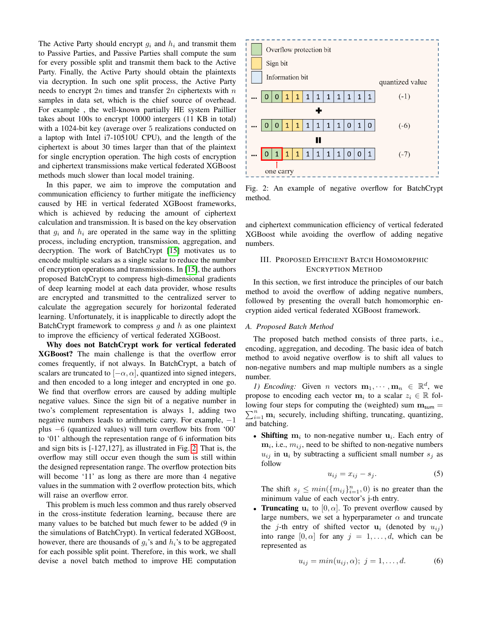The Active Party should encrypt  $g_i$  and  $h_i$  and transmit them to Passive Parties, and Passive Parties shall compute the sum for every possible split and transmit them back to the Active Party. Finally, the Active Party should obtain the plaintexts via decryption. In such one split process, the Active Party needs to encrypt  $2n$  times and transfer  $2n$  ciphertexts with n samples in data set, which is the chief source of overhead. For example , the well-known partially HE system Paillier takes about 100s to encrypt 10000 intergers (11 KB in total) with a 1024-bit key (average over 5 realizations conducted on a laptop with Intel i7-10510U CPU), and the length of the ciphertext is about 30 times larger than that of the plaintext for single encryption operation. The high costs of encryption and ciphertext transmissions make vertical federated XGBoost methods much slower than local model training.

In this paper, we aim to improve the computation and communication efficiency to further mitigate the inefficiency caused by HE in vertical federated XGBoost frameworks, which is achieved by reducing the amount of ciphertext calculation and transmission. It is based on the key observation that  $q_i$  and  $h_i$  are operated in the same way in the splitting process, including encryption, transmission, aggregation, and decryption. The work of BatchCrypt [\[15\]](#page-8-13) motivates us to encode multiple scalars as a single scalar to reduce the number of encryption operations and transmissions. In [\[15\]](#page-8-13), the authors proposed BatchCrypt to compress high-dimensional gradients of deep learning model at each data provider, whose results are encrypted and transmitted to the centralized server to calculate the aggregation securely for horizontal federated learning. Unfortunately, it is inapplicable to directly adopt the BatchCrypt framework to compress q and  $h$  as one plaintext to improve the efficiency of vertical federated XGBoost.

Why does not BatchCrypt work for vertical federated XGBoost? The main challenge is that the overflow error comes frequently, if not always. In BatchCrypt, a batch of scalars are truncated to  $[-\alpha, \alpha]$ , quantized into signed integers, and then encoded to a long integer and encrypted in one go. We find that overflow errors are caused by adding multiple negative values. Since the sign bit of a negative number in two's complement representation is always 1, adding two negative numbers leads to arithmetic carry. For example,  $−1$ plus −6 (quantized values) will turn overflow bits from '00' to '01' although the representation range of 6 information bits and sign bits is [-127,127], as illustrated in Fig. [2.](#page-3-0) That is, the overflow may still occur even though the sum is still within the designed representation range. The overflow protection bits will become '11' as long as there are more than 4 negative values in the summation with 2 overflow protection bits, which will raise an overflow error.

This problem is much less common and thus rarely observed in the cross-institute federation learning, because there are many values to be batched but much fewer to be added (9 in the simulations of BatchCrypt). In vertical federated XGBoost, however, there are thousands of  $q_i$ 's and  $h_i$ 's to be aggregated for each possible split point. Therefore, in this work, we shall devise a novel batch method to improve HE computation

<span id="page-3-0"></span>

Fig. 2: An example of negative overflow for BatchCrypt method.

and ciphertext communication efficiency of vertical federated XGBoost while avoiding the overflow of adding negative numbers.

# III. PROPOSED EFFICIENT BATCH HOMOMORPHIC ENCRYPTION METHOD

In this section, we first introduce the principles of our batch method to avoid the overflow of adding negative numbers, followed by presenting the overall batch homomorphic encryption aided vertical federated XGBoost framework.

### *A. Proposed Batch Method*

The proposed batch method consists of three parts, i.e., encoding, aggregation, and decoding. The basic idea of batch method to avoid negative overflow is to shift all values to non-negative numbers and map multiple numbers as a single number.

*1) Encoding:* Given *n* vectors  $\mathbf{m}_1, \dots, \mathbf{m}_n \in \mathbb{R}^d$ , we propose to encoding each vector  $\mathbf{m}_i$  to a scalar  $z_i \in \mathbb{R}$  fol- $\sum_{i=1}^{n}$  m<sub>i</sub> securely, including shifting, truncating, quantizing, lowing four steps for computing the (weighted) sum  $m_{\text{sum}} =$ and batching.

• Shifting  $m_i$  to non-negative number  $u_i$ . Each entry of  $m_i$ , i.e.,  $m_{ij}$ , need to be shifted to non-negative numbers  $u_{ij}$  in  $u_i$  by subtracting a sufficient small number  $s_j$  as follow

$$
u_{ij} = x_{ij} - s_j. \tag{5}
$$

The shift  $s_j \leq min(\{m_{ij}\}_{i=1}^n, 0)$  is no greater than the minimum value of each vector's j-th entry.

• Truncating  $u_i$  to  $[0, \alpha]$ . To prevent overflow caused by large numbers, we set a hyperparameter  $\alpha$  and truncate the j-th entry of shifted vector  $\mathbf{u}_i$  (denoted by  $u_{ij}$ ) into range  $[0, \alpha]$  for any  $j = 1, \ldots, d$ , which can be represented as

$$
u_{ij} = min(u_{ij}, \alpha); j = 1, ..., d.
$$
 (6)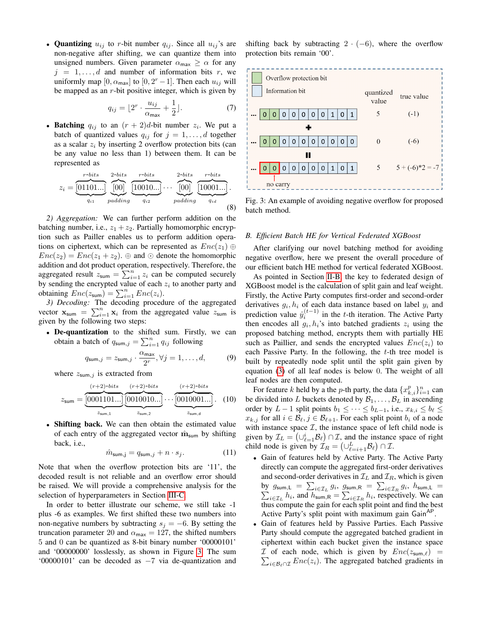• Quantizing  $u_{ij}$  to r-bit number  $q_{ij}$ . Since all  $u_{ij}$ 's are non-negative after shifting, we can quantize them into unsigned numbers. Given parameter  $\alpha_{\text{max}} \geq \alpha$  for any  $j = 1, \ldots, d$  and number of information bits r, we uniformly map  $[0, \alpha_{\text{max}}]$  to  $[0, 2^{r} - 1]$ . Then each  $u_{ij}$  will be mapped as an  $r$ -bit positive integer, which is given by

<span id="page-4-1"></span>
$$
q_{ij} = \lfloor 2^r \cdot \frac{u_{ij}}{\alpha_{\text{max}}} + \frac{1}{2} \rfloor. \tag{7}
$$

• Batching  $q_{ij}$  to an  $(r + 2)d$ -bit number  $z_i$ . We put a batch of quantized values  $q_{ij}$  for  $j = 1, \ldots, d$  together as a scalar  $z_i$  by inserting 2 overflow protection bits (can be any value no less than 1) between them. It can be represented as

$$
z_i = \underbrace{\overbrace{\begin{bmatrix}01101...\\q_{i1}\end{bmatrix}}^{r-bits} \underbrace{\overbrace{\begin{bmatrix}00\\00\end{bmatrix}}^{2-bits} \underbrace{\overbrace{\begin{bmatrix}10010...\\q_{i2}\end{bmatrix}}^{r-bits}}_{q_{i2}} \cdots \underbrace{\begin{bmatrix}2-bits\\00\end{bmatrix}}_{padding} \underbrace{\overbrace{\begin{bmatrix}10001...\\q_{id}\end{bmatrix}}^{r-bits}}_{q_{id}}.
$$
(8)

*2) Aggregation:* We can further perform addition on the batching number, i.e.,  $z_1 + z_2$ . Partially homomorphic encryption such as Pailler enables us to perform addition operations on ciphertext, which can be represented as  $Enc(z_1) \oplus$  $Enc(z_2) = Enc(z_1 + z_2)$ .  $\oplus$  and  $\odot$  denote the homomorphic addition and dot product operation, respectively. Therefore, the aggregated result  $z_{\text{sum}} = \sum_{i=1}^{n} z_i$  can be computed securely by sending the encrypted value of each  $z_i$  to another party and obtaining  $Enc(z_{\text{sum}}) = \sum_{i=1}^{n} Enc(z_i)$ .

*3) Decoding:* The decoding procedure of the aggregated vector  $\mathbf{x}_{\text{sum}} = \sum_{i=1}^{n} \mathbf{x}_i$  from the aggregated value  $z_{\text{sum}}$  is given by the following two steps:

• De-quantization to the shifted sum. Firstly, we can obtain a batch of  $q_{\text{sum},j} = \sum_{i=1}^{n} q_{ij}$  following

$$
q_{\mathsf{sum},j} = z_{\mathsf{sum},j} \cdot \frac{\alpha_{\mathsf{max}}}{2^r}, \forall j = 1, \dots, d,\tag{9}
$$

where  $z_{\text{sum},j}$  is extracted from

$$
z_{\text{sum}} = \underbrace{\frac{(r+2)\text{-bits}}{[0001101\ldots]} \underbrace{\frac{(r+2)\text{-bits}}{[0010010\ldots]}}_{z_{\text{sum},1}} \ldots \underbrace{\frac{(r+2)\text{-bits}}{[0010001\ldots]}}_{z_{\text{sum},d}}.
$$
 (10)

• Shifting back. We can then obtain the estimated value of each entry of the aggregated vector  $\hat{\mathbf{m}}_{\text{sum}}$  by shifting back, i.e.,

$$
\hat{m}_{\text{sum},j} = q_{\text{sum},j} + n \cdot s_j. \tag{11}
$$

Note that when the overflow protection bits are '11', the decoded result is not reliable and an overflow error should be raised. We will provide a comprehensive analysis for the selection of hyperparameters in Section [III-C.](#page-5-0)

In order to better illustrate our scheme, we still take -1 plus -6 as examples. We first shifted these two numbers into non-negative numbers by subtracting  $s_i = -6$ . By setting the truncation parameter 20 and  $\alpha_{\text{max}} = 127$ , the shifted numbers 5 and 0 can be quantized as 8-bit binary number '00000101' and '00000000' losslessly, as shown in Figure [3.](#page-4-0) The sum '00000101' can be decoded as  $-7$  via de-quantization and shifting back by subtracting  $2 \cdot (-6)$ , where the overflow protection bits remain '00'.

<span id="page-4-0"></span>

Fig. 3: An example of avoiding negative overflow for proposed batch method.

## *B. Efficient Batch HE for Vertical Federated XGBoost*

After clarifying our novel batching method for avoiding negative overflow, here we present the overall procedure of our efficient batch HE method for vertical federated XGBoost.

As pointed in Section [II-B,](#page-2-0) the key to federated design of XGBoost model is the calculation of split gain and leaf weight. Firstly, the Active Party computes first-order and second-order derivatives  $g_i, h_i$  of each data instance based on label  $y_i$  and prediction value  $\hat{y}_i^{(t-1)}$  in the t-th iteration. The Active Party then encodes all  $g_i, h_i$ 's into batched gradients  $z_i$  using the proposed batching method, encrypts them with partially HE such as Paillier, and sends the encrypted values  $Enc(z_i)$  to each Passive Party. In the following, the  $t$ -th tree model is built by repeatedly node split until the split gain given by equation [\(3\)](#page-2-1) of all leaf nodes is below 0. The weight of all leaf nodes are then computed.

For feature k held by a the p-th party, the data  $\{x_{k,i}^p\}_{i=1}^n$  can be divided into L buckets denoted by  $\mathcal{B}_1, \ldots, \mathcal{B}_L$  in ascending order by  $L - 1$  split points  $b_1 \leq \cdots \leq b_{L-1}$ , i.e.,  $x_{k,i} \leq b_\ell \leq \cdots$  $x_{k,j}$  for all  $i \in \mathcal{B}_{\ell}, j \in \mathcal{B}_{\ell+1}$ . For each split point  $b_i$  of a node with instance space  $I$ , the instance space of left child node is given by  $\mathcal{I}_L = (\cup_{\ell=1}^i \mathcal{B}_\ell) \cap \mathcal{I}$ , and the instance space of right child node is given by  $\mathcal{I}_R = \left(\cup_{\ell=i+1}^L \mathcal{B}_\ell\right) \cap \mathcal{I}$ .

- Gain of features held by Active Party. The Active Party directly can compute the aggregated first-order derivatives and second-order derivatives in  $\mathcal{I}_L$  and  $\mathcal{I}_R$ , which is given by  $g_{\text{sum,L}} = \sum_{i \in \mathcal{I}_L} g_i$ ,  $g_{\text{sum,R}} = \sum_{i \in \mathcal{I}_R} g_i$ ,  $h_{\text{sum,L}} = \sum_{i \in \mathcal{I}_L} h_i$ , and  $h_{\text{sum,R}} = \sum_{i \in \mathcal{I}_R} h_i$ , respectively. We can thus compute the gain for each split point and find the best Active Party's split point with maximum gain Gain<sup>AP</sup>.
- Gain of features held by Passive Parties. Each Passive Party should compute the aggregated batched gradient in ciphertext within each bucket given the instance space  $\sum_{i \in \mathcal{B}_\ell \cap \mathcal{I}} Enc(z_i)$ . The aggregated batched gradients in  $\mathcal I$  of each node, which is given by  $Enc(z_{\text{sum},\ell})$  =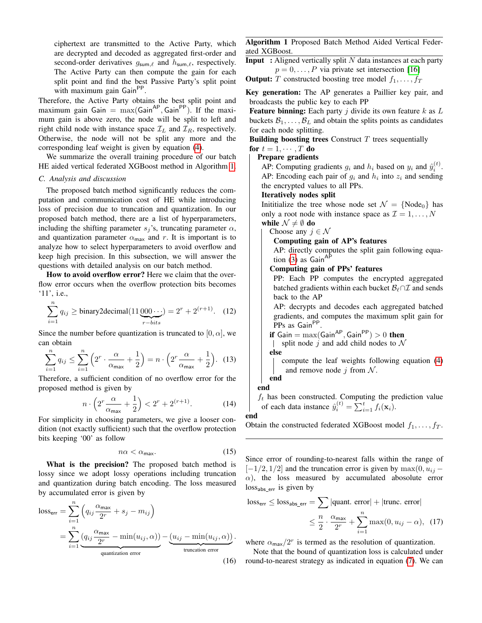ciphertext are transmitted to the Active Party, which are decrypted and decoded as aggregated first-order and second-order derivatives  $g_{\text{sum}, \ell}$  and  $h_{\text{sum}, \ell}$ , respectively. The Active Party can then compute the gain for each split point and find the best Passive Party's split point with maximum gain Gain<sup>PP</sup>.

Therefore, the Active Party obtains the best split point and maximum gain  $Gain = max(Gain^{AP}, Gain^{PP})$ . If the maximum gain is above zero, the node will be split to left and right child node with instance space  $\mathcal{I}_L$  and  $\mathcal{I}_R$ , respectively. Otherwise, the node will not be split any more and the corresponding leaf weight is given by equation [\(4\)](#page-2-2).

We summarize the overall training procedure of our batch HE aided vertical federated XGBoost method in Algorithm [1.](#page-5-1)

### <span id="page-5-0"></span>*C. Analysis and discussion*

The proposed batch method significantly reduces the computation and communication cost of HE while introducing loss of precision due to truncation and quantization. In our proposed batch method, there are a list of hyperparameters, including the shifting parameter  $s_j$ 's, truncating parameter  $\alpha$ , and quantization parameter  $\alpha_{\text{max}}$  and r. It is important is to analyze how to select hyperparameters to avoid overflow and keep high precision. In this subsection, we will answer the questions with detailed analysis on our batch method.

How to avoid overflow error? Here we claim that the overflow error occurs when the overflow protection bits becomes '11', i.e.,

$$
\sum_{i=1}^{n} q_{ij} \ge \text{binary2 decimal} (11 \underbrace{000 \cdots}_{r-bits}) = 2^r + 2^{(r+1)}.
$$
 (12)

Since the number before quantization is truncated to [0,  $\alpha$ ], we can obtain

$$
\sum_{i=1}^{n} q_{ij} \le \sum_{i=1}^{n} \left( 2^r \cdot \frac{\alpha}{\alpha_{\text{max}}} + \frac{1}{2} \right) = n \cdot \left( 2^r \frac{\alpha}{\alpha_{\text{max}}} + \frac{1}{2} \right). \tag{13}
$$

Therefore, a sufficient condition of no overflow error for the proposed method is given by

$$
n \cdot \left(2^r \frac{\alpha}{\alpha_{\text{max}}} + \frac{1}{2}\right) < 2^r + 2^{(r+1)}.\tag{14}
$$

For simplicity in choosing parameters, we give a looser condition (not exactly sufficient) such that the overflow protection bits keeping '00' as follow

$$
n\alpha < \alpha_{\text{max}}.\tag{15}
$$

What is the precision? The proposed batch method is lossy since we adopt lossy operations including truncation and quantization during batch encoding. The loss measured by accumulated error is given by

$$
loss_{err} = \sum_{i=1}^{n} \left( q_{ij} \frac{\alpha_{\text{max}}}{2^r} + s_j - m_{ij} \right)
$$
  
= 
$$
\sum_{i=1}^{n} \underbrace{\left( q_{ij} \frac{\alpha_{\text{max}}}{2^r} - \min(u_{ij}, \alpha) \right)}_{\text{quantization error}} - \underbrace{\left( u_{ij} - \min(u_{ij}, \alpha) \right)}_{\text{truncation error}}.
$$
 (16)

<span id="page-5-1"></span>Algorithm 1 Proposed Batch Method Aided Vertical Federated XGBoost.

**Input** : Aligned vertically split  $N$  data instances at each party  $p = 0, \ldots, P$  via private set intersection [\[16\]](#page-8-14)

**Output:** T constructed boosting tree model  $f_1, \ldots, f_T$ 

Key generation: The AP generates a Paillier key pair, and broadcasts the public key to each PP

**Feature binning:** Each party  $j$  divide its own feature  $k$  as  $L$ buckets  $\mathcal{B}_1, \ldots, \mathcal{B}_L$  and obtain the splits points as candidates for each node splitting.

Building boosting trees Construct  $T$  trees sequentially for  $t = 1, \cdots, T$  do

### Prepare gradients

AP: Computing gradients  $g_i$  and  $h_i$  based on  $y_i$  and  $\hat{y}_i^{(t)}$ . AP: Encoding each pair of  $g_i$  and  $h_i$  into  $z_i$  and sending the encrypted values to all PPs.

# Iteratively nodes split

Inititialize the tree whose node set  $\mathcal{N} = \{Node_0\}$  has only a root node with instance space as  $\mathcal{I} = 1, \ldots, N$ while  $\mathcal{N} \neq \emptyset$  do

Choose any  $j \in \mathcal{N}$ 

# Computing gain of AP's features

AP: directly computes the split gain following equation  $(3)$  as Gain<sup>AP</sup>

## Computing gain of PPs' features

PP: Each PP computes the encrypted aggregated batched gradients within each bucket  $\mathcal{B}_{\ell} \cap \mathcal{I}$  and sends back to the AP

AP: decrypts and decodes each aggregated batched gradients, and computes the maximum split gain for PPs as Gain<sup>PP</sup>.

**if** Gain = max(Gain<sup>AP</sup>, Gain<sup>PP</sup>) > 0 **then**  
l split node *i* and add child nodes to 
$$
\mathcal{N}
$$

$$
| \quad \text{split node } f \text{ and add child nodes to } \mathcal{N}
$$

compute the leaf weights following equation [\(4\)](#page-2-2) and remove node  $j$  from  $N$ .

## end

end

 $f_t$  has been constructed. Computing the prediction value of each data instance  $\hat{y}_i^{(t)} = \sum_{i=1}^t f_i(\mathbf{x}_i)$ .

## end

Obtain the constructed federated XGBoost model  $f_1, \ldots, f_T$ .

Since error of rounding-to-nearest falls within the range of  $[-1/2, 1/2]$  and the truncation error is given by  $\max(0, u_{ij} \alpha$ ), the loss measured by accumulated abosolute error loss<sub>abs err</sub> is given by

loss<sub>err</sub> 
$$
\leq
$$
 loss<sub>abs\_error</sub> =  $\sum_{n=1}^{\infty} |quant. error| + |trunc. error|$   
 $\leq \frac{n}{2} \cdot \frac{\alpha_{max}}{2^r} + \sum_{i=1}^{n} \max(0, u_{ij} - \alpha), (17)$ 

where  $\alpha_{\text{max}}/2^r$  is termed as the resolution of quantization.

Note that the bound of quantization loss is calculated under round-to-nearest strategy as indicated in equation [\(7\)](#page-4-1). We can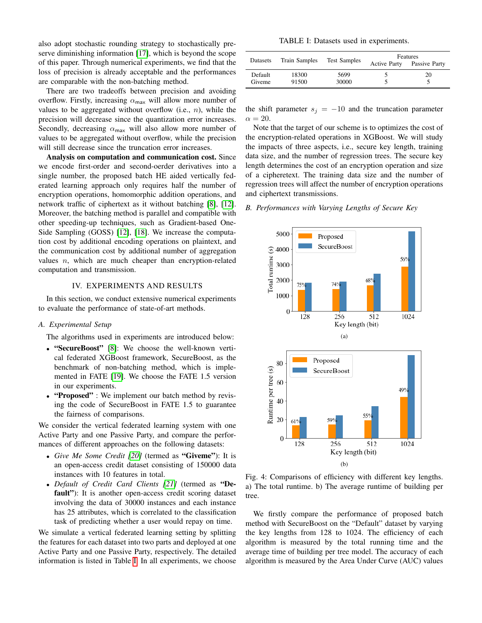also adopt stochastic rounding strategy to stochastically preserve diminishing information [\[17\]](#page-8-15), which is beyond the scope of this paper. Through numerical experiments, we find that the loss of precision is already acceptable and the performances are comparable with the non-batching method.

There are two tradeoffs between precision and avoiding overflow. Firstly, increasing  $\alpha_{\text{max}}$  will allow more number of values to be aggregated without overflow  $(i.e., n)$ , while the precision will decrease since the quantization error increases. Secondly, decreasing  $\alpha_{\text{max}}$  will also allow more number of values to be aggregated without overflow, while the precision will still decrease since the truncation error increases.

Analysis on computation and communication cost. Since we encode first-order and second-oerder derivatives into a single number, the proposed batch HE aided vertically federated learning approach only requires half the number of encryption operations, homomorphic addition operations, and network traffic of ciphertext as it without batching [\[8\]](#page-8-7), [\[12\]](#page-8-11). Moreover, the batching method is parallel and compatible with other speeding-up techniques, such as Gradient-based One-Side Sampling (GOSS) [\[12\]](#page-8-11), [\[18\]](#page-8-16). We increase the computation cost by additional encoding operations on plaintext, and the communication cost by additional number of aggregation values  $n$ , which are much cheaper than encryption-related computation and transmission.

## IV. EXPERIMENTS AND RESULTS

In this section, we conduct extensive numerical experiments to evaluate the performance of state-of-art methods.

## *A. Experimental Setup*

The algorithms used in experiments are introduced below:

- "SecureBoost" [\[8\]](#page-8-7): We choose the well-known vertical federated XGBoost framework, SecureBoost, as the benchmark of non-batching method, which is implemented in FATE [\[19\]](#page-8-17). We choose the FATE 1.5 version in our experiments.
- "Proposed": We implement our batch method by revising the code of SecureBoost in FATE 1.5 to guarantee the fairness of comparisons.

We consider the vertical federated learning system with one Active Party and one Passive Party, and compare the performances of different approaches on the following datasets:

- *Give Me Some Credit [\[20\]](#page-8-18)* (termed as "Giveme"): It is an open-access credit dataset consisting of 150000 data instances with 10 features in total.
- *Default of Credit Card Clients [\[21\]](#page-8-19)* (termed as "Default"): It is another open-access credit scoring dataset involving the data of 30000 instances and each instance has 25 attributes, which is correlated to the classification task of predicting whether a user would repay on time.

We simulate a vertical federated learning setting by splitting the features for each dataset into two parts and deployed at one Active Party and one Passive Party, respectively. The detailed information is listed in Table [I.](#page-6-0) In all experiments, we choose

TABLE I: Datasets used in experiments.

<span id="page-6-0"></span>

| Datasets          | Train Samples  | <b>Test Samples</b> | Features<br>Passive Party<br><b>Active Party</b> |    |
|-------------------|----------------|---------------------|--------------------------------------------------|----|
| Default<br>Giveme | 18300<br>91500 | 5699<br>30000       |                                                  | 20 |

the shift parameter  $s_i = -10$  and the truncation parameter  $\alpha = 20.$ 

Note that the target of our scheme is to optimizes the cost of the encryption-related operations in XGBoost. We will study the impacts of three aspects, i.e., secure key length, training data size, and the number of regression trees. The secure key length determines the cost of an encryption operation and size of a cipheretext. The training data size and the number of regression trees will affect the number of encryption operations and ciphertext transmissions.

## *B. Performances with Varying Lengths of Secure Key*

<span id="page-6-1"></span>

Fig. 4: Comparisons of efficiency with different key lengths. a) The total runtime. b) The average runtime of building per tree.

We firstly compare the performance of proposed batch method with SecureBoost on the "Default" dataset by varying the key lengths from 128 to 1024. The efficiency of each algorithm is measured by the total running time and the average time of building per tree model. The accuracy of each algorithm is measured by the Area Under Curve (AUC) values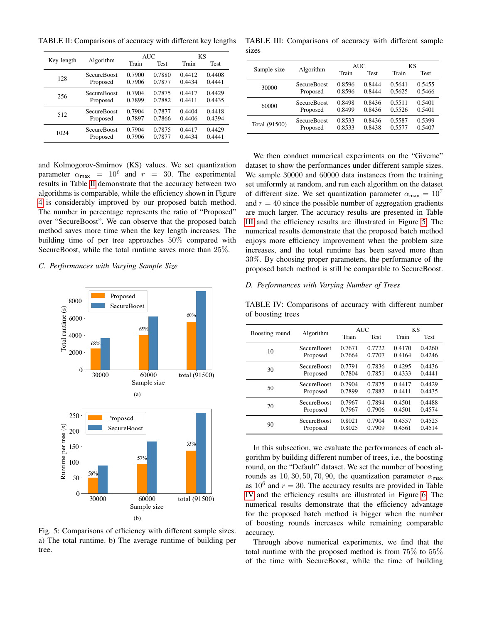<span id="page-7-0"></span>TABLE II: Comparisons of accuracy with different key lengths

|            | Algorithm          | <b>AUC</b> |             | <b>KS</b> |             |
|------------|--------------------|------------|-------------|-----------|-------------|
| Key length |                    | Train      | <b>Test</b> | Train     | <b>Test</b> |
| 128        | <b>SecureBoost</b> | 0.7900     | 0.7880      | 0.4412    | 0.4408      |
|            | Proposed           | 0.7906     | 0.7877      | 0.4434    | 0.4441      |
| 256        | SecureBoost        | 0.7904     | 0.7875      | 0.4417    | 0.4429      |
|            | Proposed           | 0.7899     | 0.7882      | 0.4411    | 0.4435      |
| 512        | SecureBoost        | 0.7904     | 0.7877      | 0.4404    | 0.4418      |
|            | Proposed           | 0.7897     | 0.7866      | 0.4406    | 0.4394      |
| 1024       | <b>SecureBoost</b> | 0.7904     | 0.7875      | 0.4417    | 0.4429      |
|            | Proposed           | 0.7906     | 0.7877      | 0.4434    | 0.4441      |

and Kolmogorov-Smirnov (KS) values. We set quantization parameter  $\alpha_{\text{max}} = 10^6$  and  $r = 30$ . The experimental results in Table [II](#page-7-0) demonstrate that the accuracy between two algorithms is comparable, while the efficiency shown in Figure [4](#page-6-1) is considerably improved by our proposed batch method. The number in percentage represents the ratio of "Proposed" over "SecureBoost". We can observe that the proposed batch method saves more time when the key length increases. The building time of per tree approaches 50% compared with SecureBoost, while the total runtime saves more than 25%.

*C. Performances with Varying Sample Size*

<span id="page-7-2"></span>

Fig. 5: Comparisons of efficiency with different sample sizes. a) The total runtime. b) The average runtime of building per tree.

<span id="page-7-1"></span>TABLE III: Comparisons of accuracy with different sample sizes

|               | Algorithm          | AUC    |        | KS     |        |
|---------------|--------------------|--------|--------|--------|--------|
| Sample size   |                    | Train  | Test   | Train  | Test   |
| 30000         | <b>SecureBoost</b> | 0.8596 | 0.8444 | 0.5641 | 0.5455 |
|               | Proposed           | 0.8596 | 0.8444 | 0.5625 | 0.5466 |
| 60000         | <b>SecureBoost</b> | 0.8498 | 0.8436 | 0.5511 | 0.5401 |
|               | Proposed           | 0.8499 | 0.8436 | 0.5526 | 0.5401 |
| Total (91500) | <b>SecureBoost</b> | 0.8533 | 0.8436 | 0.5587 | 0.5399 |
|               | Proposed           | 0.8533 | 0.8438 | 0.5577 | 0.5407 |

We then conduct numerical experiments on the "Giveme" dataset to show the performances under different sample sizes. We sample 30000 and 60000 data instances from the training set uniformly at random, and run each algorithm on the dataset of different size. We set quantization parameter  $\alpha_{\text{max}} = 10^7$ and  $r = 40$  since the possible number of aggregation gradients are much larger. The accuracy results are presented in Table [III](#page-7-1) and the efficiency results are illustrated in Figure [5.](#page-7-2) The numerical results demonstrate that the proposed batch method enjoys more efficiency improvement when the problem size increases, and the total runtime has been saved more than 30%. By choosing proper parameters, the performance of the proposed batch method is still be comparable to SecureBoost.

## *D. Performances with Varying Number of Trees*

<span id="page-7-3"></span>TABLE IV: Comparisons of accuracy with different number of boosting trees

|                | Algorithm          | <b>AUC</b> |        | <b>KS</b> |             |
|----------------|--------------------|------------|--------|-----------|-------------|
| Boosting round |                    | Train      | Test   | Train     | <b>Test</b> |
| 10             | <b>SecureBoost</b> | 0.7671     | 0.7722 | 0.4170    | 0.4260      |
|                | Proposed           | 0.7664     | 0.7707 | 0.4164    | 0.4246      |
|                | SecureBoost        | 0.7791     | 0.7836 | 0.4295    | 0.4436      |
| 30             | Proposed           | 0.7804     | 0.7851 | 0.4333    | 0.4441      |
| 50             | <b>SecureBoost</b> | 0.7904     | 0.7875 | 0.4417    | 0.4429      |
|                | Proposed           | 0.7899     | 0.7882 | 0.4411    | 0.4435      |
| 70             | <b>SecureBoost</b> | 0.7967     | 0.7894 | 0.4501    | 0.4488      |
|                | Proposed           | 0.7967     | 0.7906 | 0.4501    | 0.4574      |
| 90             | <b>SecureBoost</b> | 0.8021     | 0.7904 | 0.4557    | 0.4525      |
|                | Proposed           | 0.8025     | 0.7909 | 0.4561    | 0.4514      |
|                |                    |            |        |           |             |

In this subsection, we evaluate the performances of each algorithm by building different number of trees, i.e., the boosting round, on the "Default" dataset. We set the number of boosting rounds as 10, 30, 50, 70, 90, the quantization parameter  $\alpha_{\text{max}}$ as  $10^6$  and  $r = 30$ . The accuracy results are provided in Table [IV](#page-7-3) and the efficiency results are illustrated in Figure [6.](#page-8-20) The numerical results demonstrate that the efficiency advantage for the proposed batch method is bigger when the number of boosting rounds increases while remaining comparable accuracy.

Through above numerical experiments, we find that the total runtime with the proposed method is from 75% to 55% of the time with SecureBoost, while the time of building